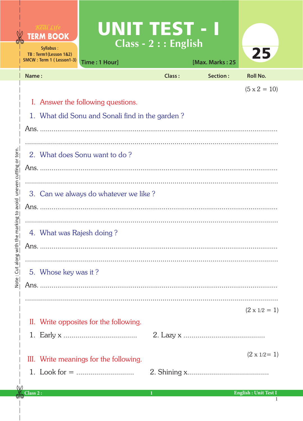|                                                                        | UNIT TEST - I<br>Real Life<br><b>TERM BOOK</b><br>Syllabus:<br>TB: Term1(Lesson 1&2)<br>SMCW: Term 1 (Lesson1-3)<br>Time: 1 Hour] | $Class - 2 :: English$ | [Max. Marks: 25 | 25                                                     |
|------------------------------------------------------------------------|-----------------------------------------------------------------------------------------------------------------------------------|------------------------|-----------------|--------------------------------------------------------|
|                                                                        | Name:                                                                                                                             | Class:                 | Section:        | <b>Roll No.</b>                                        |
| he marking to avoid uneven cutting or torn.<br>Note: Cut along with th | I. Answer the following questions.<br>1. What did Sonu and Sonali find in the garden?<br>2. What does Sonu want to do?            |                        |                 | $(5 \times 2 = 10)$                                    |
|                                                                        | 3. Can we always do whatever we like?                                                                                             |                        |                 |                                                        |
|                                                                        | 4. What was Rajesh doing?<br>5. Whose key was it?                                                                                 |                        |                 |                                                        |
|                                                                        | II. Write opposites for the following.                                                                                            |                        |                 | $(2 \times 1/2 = 1)$                                   |
|                                                                        | III. Write meanings for the following.<br>Class 2:                                                                                |                        |                 | $(2 \times 1/2=1)$<br><b>English: Unit Test I</b><br>1 |